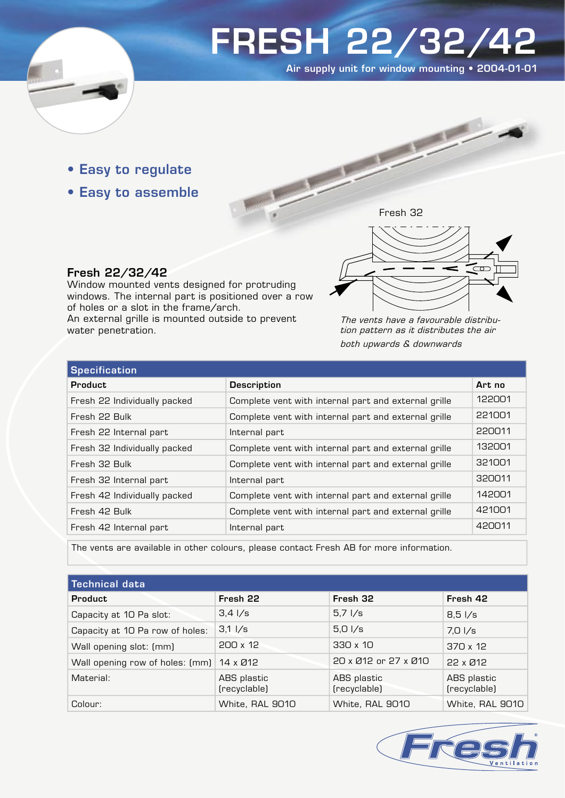

# FRESH 22/32/42

Air supply unit for window mounting • 2004-01-01

- Easy to regulate
- Easy to assemble



## Fresh 22/32/42

Window mounted vents designed for protruding windows. The internal part is positioned over a row of holes or a slot in the frame/arch. An external grille is mounted outside to prevent water penetration.

The vents have a favourable distribution pattern as it distributes the air both upwards & downwards

| <b>Specification</b>         |                                                      |        |  |
|------------------------------|------------------------------------------------------|--------|--|
| <b>Product</b>               | <b>Description</b>                                   | Art no |  |
| Fresh 22 Individually packed | Complete vent with internal part and external grille | 122001 |  |
| Fresh 22 Bulk                | Complete vent with internal part and external grille | 221001 |  |
| Fresh 22 Internal part       | Internal part                                        | 220011 |  |
| Fresh 32 Individually packed | Complete vent with internal part and external grille | 132001 |  |
| Fresh 32 Bulk                | Complete vent with internal part and external grille | 321001 |  |
| Fresh 32 Internal part       | Internal part                                        | 320011 |  |
| Fresh 42 Individually packed | Complete vent with internal part and external grille | 142001 |  |
| Fresh 42 Bulk                | Complete vent with internal part and external grille | 421001 |  |
| Fresh 42 Internal part       | Internal part                                        | 420011 |  |

The vents are available in other colours, please contact Fresh AB for more information.

| <b>Technical data</b>                    |                             |                             |                             |  |
|------------------------------------------|-----------------------------|-----------------------------|-----------------------------|--|
| <b>Product</b>                           | Fresh 22                    | Fresh 32                    | Fresh 42                    |  |
| Capacity at 10 Pa slot:                  | $3,4 \frac{1}{s}$           | $5,7$ $1/s$                 | $8,5 \frac{1}{s}$           |  |
| Capacity at 10 Pa row of holes:          | $3,1 \frac{1}{s}$           | $5,0 \frac{\pi}{s}$         | $7,0$ l/s                   |  |
| Wall opening slot: (mm)                  | 200 x 12                    | 330 x 10                    | $370 \times 12$             |  |
| Wall opening row of holes: (mm) 14 x Ø12 |                             | 20 x Ø12 or 27 x Ø10        | 22 x Ø12                    |  |
| Material:                                | ABS plastic<br>(recyclable) | ABS plastic<br>(recyclable) | ABS plastic<br>(recyclable) |  |
| Colour:                                  | White, RAL 9010             | White, RAL 9010             | White, RAL 9010             |  |